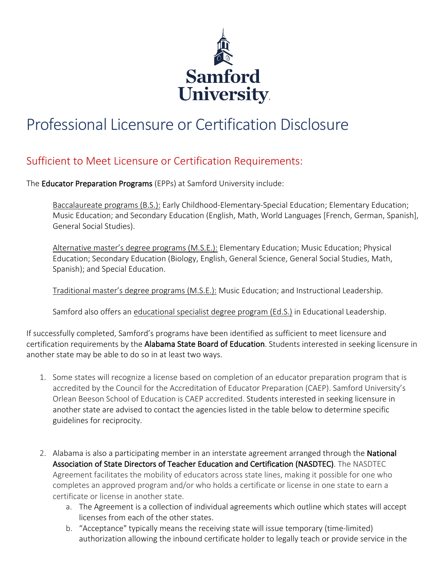

## Professional Licensure or Certification Disclosure

## Sufficient to Meet Licensure or Certification Requirements:

The Educator Preparation Programs (EPPs) at Samford University include:

Baccalaureate programs (B.S.): Early Childhood-Elementary-Special Education; Elementary Education; Music Education; and Secondary Education (English, Math, World Languages [French, German, Spanish], General Social Studies).

Alternative master's degree programs (M.S.E.): Elementary Education; Music Education; Physical Education; Secondary Education (Biology, English, General Science, General Social Studies, Math, Spanish); and Special Education.

Traditional master's degree programs (M.S.E.): Music Education; and Instructional Leadership.

Samford also offers an educational specialist degree program (Ed.S.) in Educational Leadership.

If successfully completed, Samford's programs have been identified as sufficient to meet licensure and certification requirements by the Alabama State Board of Education. Students interested in seeking licensure in another state may be able to do so in at least two ways.

- 1. Some states will recognize a license based on completion of an educator preparation program that is accredited by the Council for the Accreditation of Educator Preparation (CAEP). Samford University's Orlean Beeson School of Education is CAEP accredited. Students interested in seeking licensure in another state are advised to contact the agencies listed in the table below to determine specific guidelines for reciprocity.
- 2. Alabama is also a participating member in an interstate agreement arranged through the National Association of State Directors of Teacher Education and Certification (NASDTEC). The NASDTEC Agreement facilitates the mobility of educators across state lines, making it possible for one who completes an approved program and/or who holds a certificate or license in one state to earn a certificate or license in another state.
	- a. The Agreement is a collection of individual agreements which outline which states will accept licenses from each of the other states.
	- b. "Acceptance" typically means the receiving state will issue temporary (time-limited) authorization allowing the inbound certificate holder to legally teach or provide service in the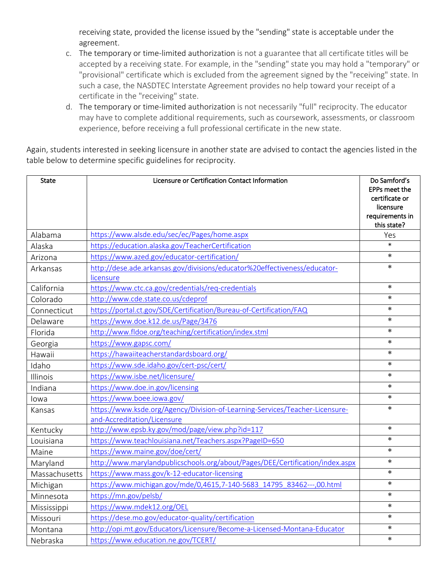receiving state, provided the license issued by the "sending" state is acceptable under the agreement.

- c. The temporary or time-limited authorization is not a guarantee that all certificate titles will be accepted by a receiving state. For example, in the "sending" state you may hold a "temporary" or "provisional" certificate which is excluded from the agreement signed by the "receiving" state. In such a case, the NASDTEC Interstate Agreement provides no help toward your receipt of a certificate in the "receiving" state.
- d. The temporary or time-limited authorization is not necessarily "full" reciprocity. The educator may have to complete additional requirements, such as coursework, assessments, or classroom experience, before receiving a full professional certificate in the new state.

Again, students interested in seeking licensure in another state are advised to contact the agencies listed in the table below to determine specific guidelines for reciprocity.

| <b>State</b>  | Licensure or Certification Contact Information                                                              | Do Samford's<br>EPPs meet the<br>certificate or<br>licensure<br>requirements in<br>this state? |
|---------------|-------------------------------------------------------------------------------------------------------------|------------------------------------------------------------------------------------------------|
| Alabama       | https://www.alsde.edu/sec/ec/Pages/home.aspx                                                                | Yes                                                                                            |
| Alaska        | https://education.alaska.gov/TeacherCertification                                                           | $\ast$                                                                                         |
| Arizona       | https://www.azed.gov/educator-certification/                                                                | $\ast$                                                                                         |
| Arkansas      | http://dese.ade.arkansas.gov/divisions/educator%20effectiveness/educator-<br>licensure                      | $\ast$                                                                                         |
| California    | https://www.ctc.ca.gov/credentials/req-credentials                                                          | $\ast$                                                                                         |
| Colorado      | http://www.cde.state.co.us/cdeprof                                                                          | $\ast$                                                                                         |
| Connecticut   | https://portal.ct.gov/SDE/Certification/Bureau-of-Certification/FAQ                                         | $\ast$                                                                                         |
| Delaware      | https://www.doe.k12.de.us/Page/3476                                                                         | $\ast$                                                                                         |
| Florida       | http://www.fldoe.org/teaching/certification/index.stml                                                      | $\ast$                                                                                         |
| Georgia       | https://www.gapsc.com/                                                                                      | $\ast$                                                                                         |
| Hawaii        | https://hawaiiteacherstandardsboard.org/                                                                    | $\ast$                                                                                         |
| Idaho         | https://www.sde.idaho.gov/cert-psc/cert/                                                                    | $\ast$                                                                                         |
| Illinois      | https://www.isbe.net/licensure/                                                                             | $\ast$                                                                                         |
| Indiana       | https://www.doe.in.gov/licensing                                                                            | $\ast$                                                                                         |
| lowa          | https://www.boee.iowa.gov/                                                                                  | $\ast$                                                                                         |
| Kansas        | https://www.ksde.org/Agency/Division-of-Learning-Services/Teacher-Licensure-<br>and-Accreditation/Licensure | $\ast$                                                                                         |
| Kentucky      | http://www.epsb.ky.gov/mod/page/view.php?id=117                                                             | $\ast$                                                                                         |
| Louisiana     | https://www.teachlouisiana.net/Teachers.aspx?PageID=650                                                     | $\ast$                                                                                         |
| Maine         | https://www.maine.gov/doe/cert/                                                                             | $\ast$                                                                                         |
| Maryland      | http://www.marylandpublicschools.org/about/Pages/DEE/Certification/index.aspx                               | $\ast$                                                                                         |
| Massachusetts | https://www.mass.gov/k-12-educator-licensing                                                                | $\ast$                                                                                         |
| Michigan      | https://www.michigan.gov/mde/0,4615,7-140-5683 14795 83462---,00.html                                       | $\ast$                                                                                         |
| Minnesota     | https://mn.gov/pelsb/                                                                                       | $\ast$                                                                                         |
| Mississippi   | https://www.mdek12.org/OEL                                                                                  | $\ast$                                                                                         |
| Missouri      | https://dese.mo.gov/educator-quality/certification                                                          | $\ast$                                                                                         |
| Montana       | http://opi.mt.gov/Educators/Licensure/Become-a-Licensed-Montana-Educator                                    | $\ast$                                                                                         |
| Nebraska      | https://www.education.ne.gov/TCERT/                                                                         | $\ast$                                                                                         |